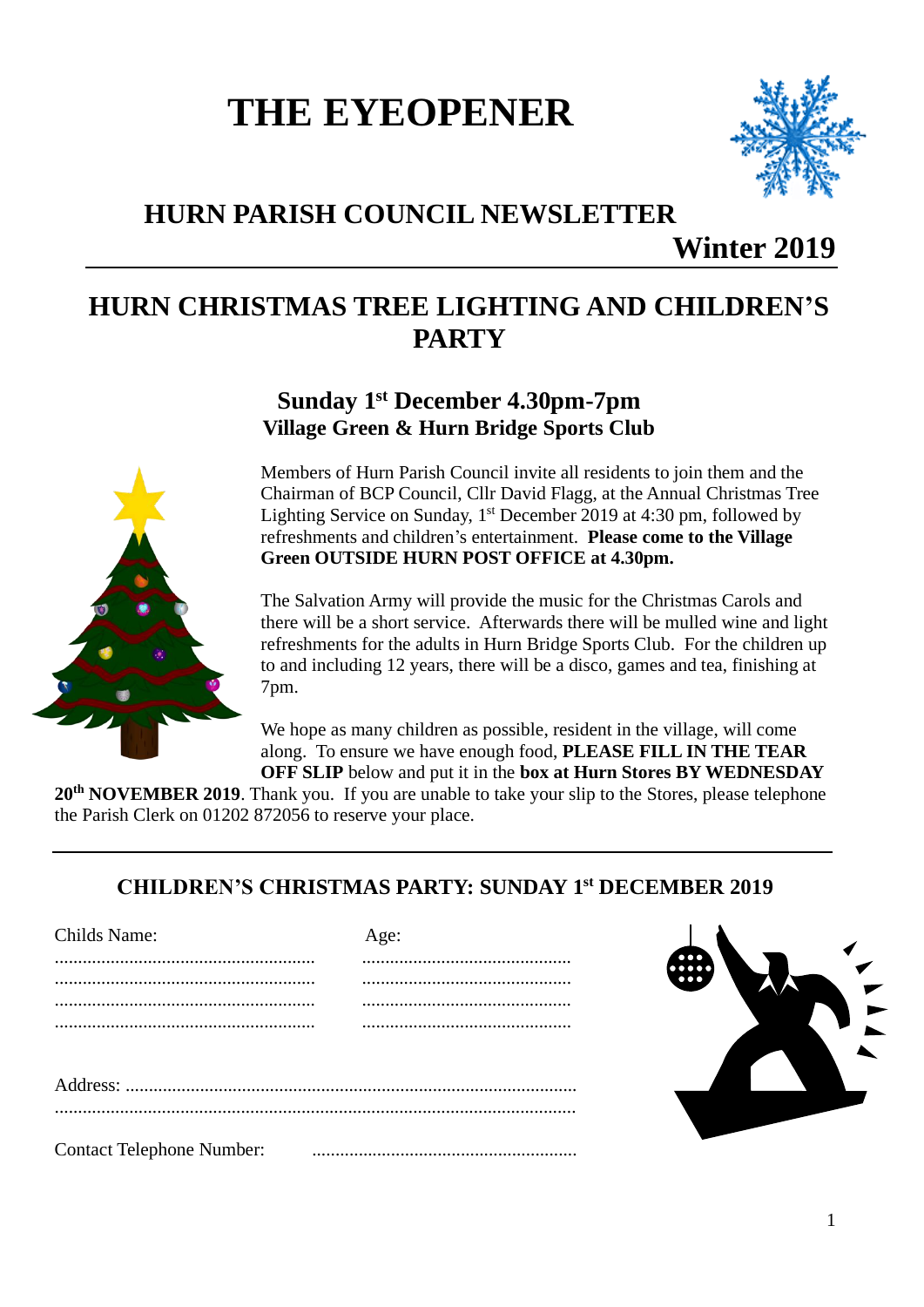# **THE EYEOPENER**



## **HURN PARISH COUNCIL NEWSLETTER**

**Winter 2019**

## **HURN CHRISTMAS TREE LIGHTING AND CHILDREN'S PARTY**

**Sunday 1 st December 4.30pm-7pm Village Green & Hurn Bridge Sports Club**

Members of Hurn Parish Council invite all residents to join them and the Chairman of BCP Council, Cllr David Flagg, at the Annual Christmas Tree Lighting Service on Sunday, 1<sup>st</sup> December 2019 at 4:30 pm, followed by refreshments and children's entertainment. **Please come to the Village Green OUTSIDE HURN POST OFFICE at 4.30pm.**

The Salvation Army will provide the music for the Christmas Carols and there will be a short service. Afterwards there will be mulled wine and light refreshments for the adults in Hurn Bridge Sports Club. For the children up to and including 12 years, there will be a disco, games and tea, finishing at 7pm.

We hope as many children as possible, resident in the village, will come along. To ensure we have enough food, **PLEASE FILL IN THE TEAR OFF SLIP** below and put it in the **box at Hurn Stores BY WEDNESDAY** 

**20th NOVEMBER 2019**. Thank you. If you are unable to take your slip to the Stores, please telephone the Parish Clerk on 01202 872056 to reserve your place.

### **CHILDREN'S CHRISTMAS PARTY: SUNDAY 1 st DECEMBER 2019**

| <b>Childs Name:</b>              | Age: |
|----------------------------------|------|
|                                  |      |
|                                  |      |
|                                  |      |
|                                  |      |
|                                  |      |
|                                  |      |
|                                  |      |
|                                  |      |
|                                  |      |
| <b>Contact Telephone Number:</b> |      |